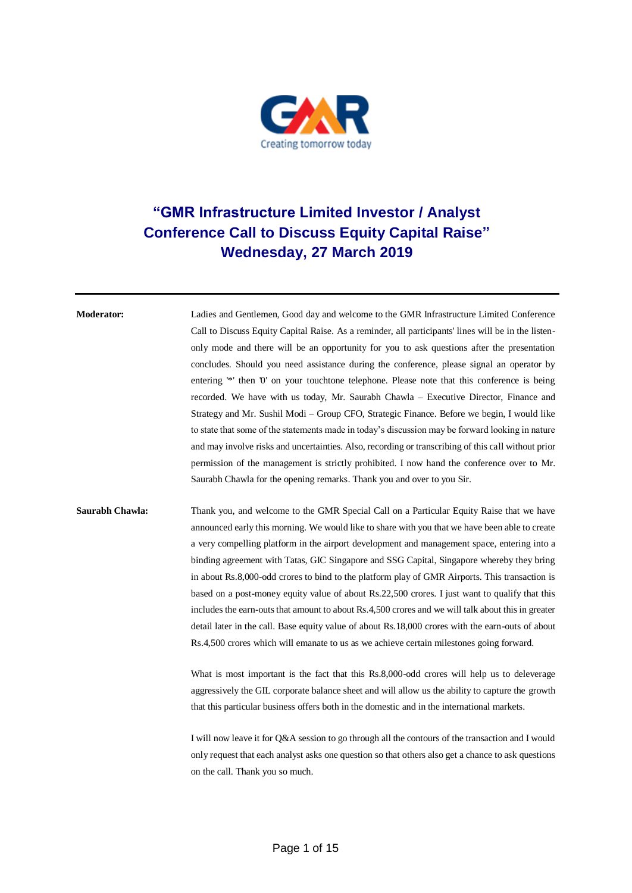

## **"GMR Infrastructure Limited Investor / Analyst Conference Call to Discuss Equity Capital Raise" Wednesday, 27 March 2019**

**Moderator:** Ladies and Gentlemen, Good day and welcome to the GMR Infrastructure Limited Conference Call to Discuss Equity Capital Raise. As a reminder, all participants' lines will be in the listenonly mode and there will be an opportunity for you to ask questions after the presentation concludes. Should you need assistance during the conference, please signal an operator by entering '\*' then '0' on your touchtone telephone. Please note that this conference is being recorded. We have with us today, Mr. Saurabh Chawla – Executive Director, Finance and Strategy and Mr. Sushil Modi – Group CFO, Strategic Finance. Before we begin, I would like to state that some of the statements made in today's discussion may be forward looking in nature and may involve risks and uncertainties. Also, recording or transcribing of this call without prior permission of the management is strictly prohibited. I now hand the conference over to Mr. Saurabh Chawla for the opening remarks. Thank you and over to you Sir.

## **Saurabh Chawla:** Thank you, and welcome to the GMR Special Call on a Particular Equity Raise that we have announced early this morning. We would like to share with you that we have been able to create a very compelling platform in the airport development and management space, entering into a binding agreement with Tatas, GIC Singapore and SSG Capital, Singapore whereby they bring in about Rs.8,000-odd crores to bind to the platform play of GMR Airports. This transaction is based on a post-money equity value of about Rs.22,500 crores. I just want to qualify that this includes the earn-outs that amount to about Rs.4,500 crores and we will talk about this in greater detail later in the call. Base equity value of about Rs.18,000 crores with the earn-outs of about Rs.4,500 crores which will emanate to us as we achieve certain milestones going forward.

What is most important is the fact that this Rs.8,000-odd crores will help us to deleverage aggressively the GIL corporate balance sheet and will allow us the ability to capture the growth that this particular business offers both in the domestic and in the international markets.

I will now leave it for Q&A session to go through all the contours of the transaction and I would only request that each analyst asks one question so that others also get a chance to ask questions on the call. Thank you so much.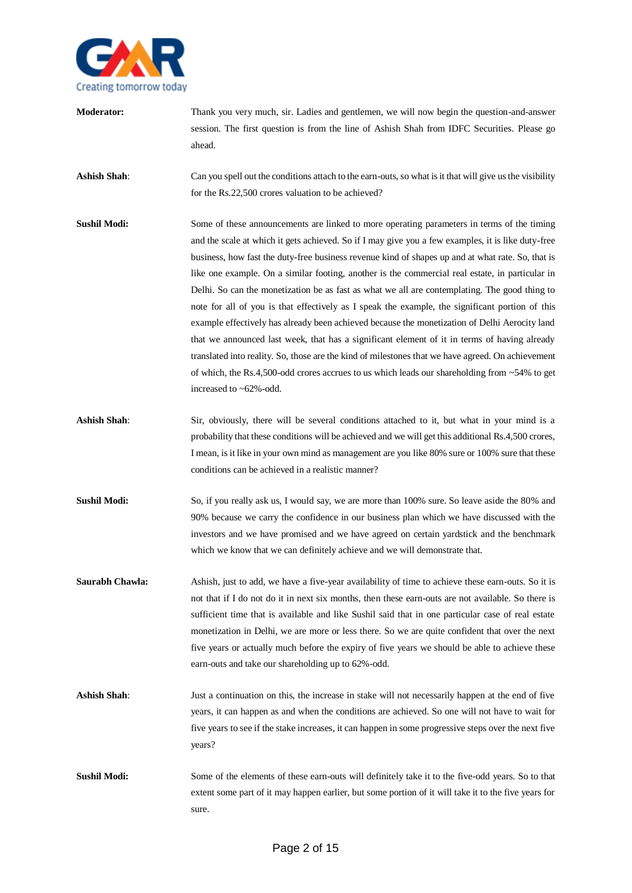

**Moderator:** Thank you very much, sir. Ladies and gentlemen, we will now begin the question-and-answer session. The first question is from the line of Ashish Shah from IDFC Securities. Please go ahead. **Ashish Shah**: Can you spell out the conditions attach to the earn-outs, so what is it that will give us the visibility for the Rs.22,500 crores valuation to be achieved? **Sushil Modi:** Some of these announcements are linked to more operating parameters in terms of the timing and the scale at which it gets achieved. So if I may give you a few examples, it is like duty-free business, how fast the duty-free business revenue kind of shapes up and at what rate. So, that is like one example. On a similar footing, another is the commercial real estate, in particular in Delhi. So can the monetization be as fast as what we all are contemplating. The good thing to note for all of you is that effectively as I speak the example, the significant portion of this example effectively has already been achieved because the monetization of Delhi Aerocity land that we announced last week, that has a significant element of it in terms of having already translated into reality. So, those are the kind of milestones that we have agreed. On achievement of which, the Rs.4,500-odd crores accrues to us which leads our shareholding from  $\sim$  54% to get increased to ~62%-odd. Ashish Shah: Sir, obviously, there will be several conditions attached to it, but what in your mind is a probability that these conditions will be achieved and we will get this additional Rs.4,500 crores, I mean, is it like in your own mind as management are you like 80% sure or 100% sure that these conditions can be achieved in a realistic manner? **Sushil Modi:** So, if you really ask us, I would say, we are more than 100% sure. So leave aside the 80% and 90% because we carry the confidence in our business plan which we have discussed with the investors and we have promised and we have agreed on certain yardstick and the benchmark which we know that we can definitely achieve and we will demonstrate that. **Saurabh Chawla:** Ashish, just to add, we have a five-year availability of time to achieve these earn-outs. So it is not that if I do not do it in next six months, then these earn-outs are not available. So there is sufficient time that is available and like Sushil said that in one particular case of real estate monetization in Delhi, we are more or less there. So we are quite confident that over the next five years or actually much before the expiry of five years we should be able to achieve these earn-outs and take our shareholding up to 62%-odd. **Ashish Shah**: Just a continuation on this, the increase in stake will not necessarily happen at the end of five years, it can happen as and when the conditions are achieved. So one will not have to wait for five years to see if the stake increases, it can happen in some progressive steps over the next five years? **Sushil Modi:** Some of the elements of these earn-outs will definitely take it to the five-odd years. So to that extent some part of it may happen earlier, but some portion of it will take it to the five years for sure.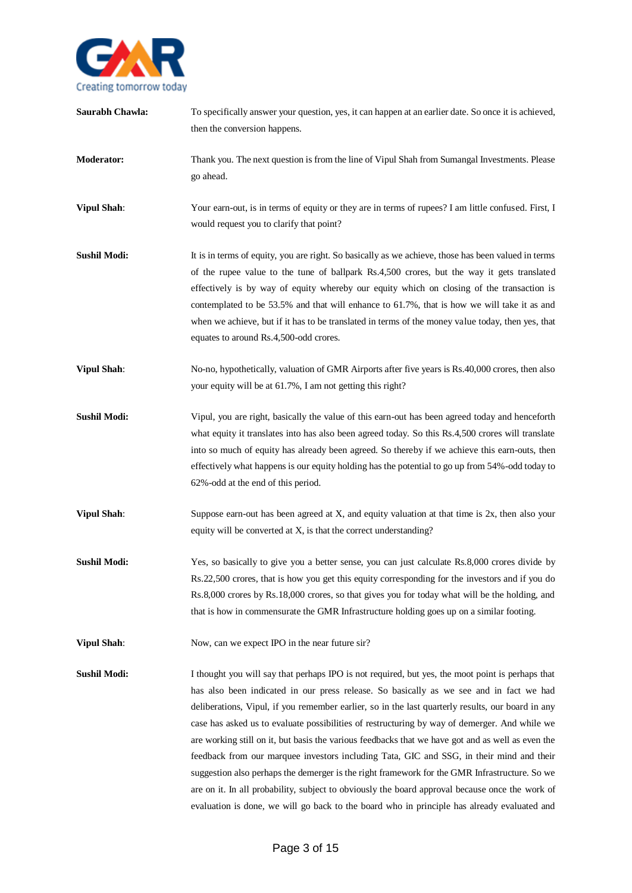

**Saurabh Chawla:** To specifically answer your question, yes, it can happen at an earlier date. So once it is achieved, then the conversion happens. **Moderator:** Thank you. The next question is from the line of Vipul Shah from Sumangal Investments. Please go ahead. **Vipul Shah**: Your earn-out, is in terms of equity or they are in terms of rupees? I am little confused. First, I would request you to clarify that point? **Sushil Modi:** It is in terms of equity, you are right. So basically as we achieve, those has been valued in terms of the rupee value to the tune of ballpark Rs.4,500 crores, but the way it gets translated effectively is by way of equity whereby our equity which on closing of the transaction is contemplated to be 53.5% and that will enhance to 61.7%, that is how we will take it as and when we achieve, but if it has to be translated in terms of the money value today, then yes, that equates to around Rs.4,500-odd crores. **Vipul Shah**: No-no, hypothetically, valuation of GMR Airports after five years is Rs.40,000 crores, then also your equity will be at 61.7%, I am not getting this right? **Sushil Modi:** Vipul, you are right, basically the value of this earn-out has been agreed today and henceforth what equity it translates into has also been agreed today. So this Rs.4,500 crores will translate into so much of equity has already been agreed. So thereby if we achieve this earn-outs, then effectively what happens is our equity holding has the potential to go up from 54%-odd today to 62%-odd at the end of this period. **Vipul Shah**: Suppose earn-out has been agreed at X, and equity valuation at that time is 2x, then also your equity will be converted at X, is that the correct understanding? **Sushil Modi:** Yes, so basically to give you a better sense, you can just calculate Rs.8,000 crores divide by Rs.22,500 crores, that is how you get this equity corresponding for the investors and if you do Rs.8,000 crores by Rs.18,000 crores, so that gives you for today what will be the holding, and that is how in commensurate the GMR Infrastructure holding goes up on a similar footing. **Vipul Shah:** Now, can we expect IPO in the near future sir? **Sushil Modi:** I thought you will say that perhaps IPO is not required, but yes, the moot point is perhaps that has also been indicated in our press release. So basically as we see and in fact we had deliberations, Vipul, if you remember earlier, so in the last quarterly results, our board in any case has asked us to evaluate possibilities of restructuring by way of demerger. And while we are working still on it, but basis the various feedbacks that we have got and as well as even the feedback from our marquee investors including Tata, GIC and SSG, in their mind and their suggestion also perhaps the demerger is the right framework for the GMR Infrastructure. So we are on it. In all probability, subject to obviously the board approval because once the work of

evaluation is done, we will go back to the board who in principle has already evaluated and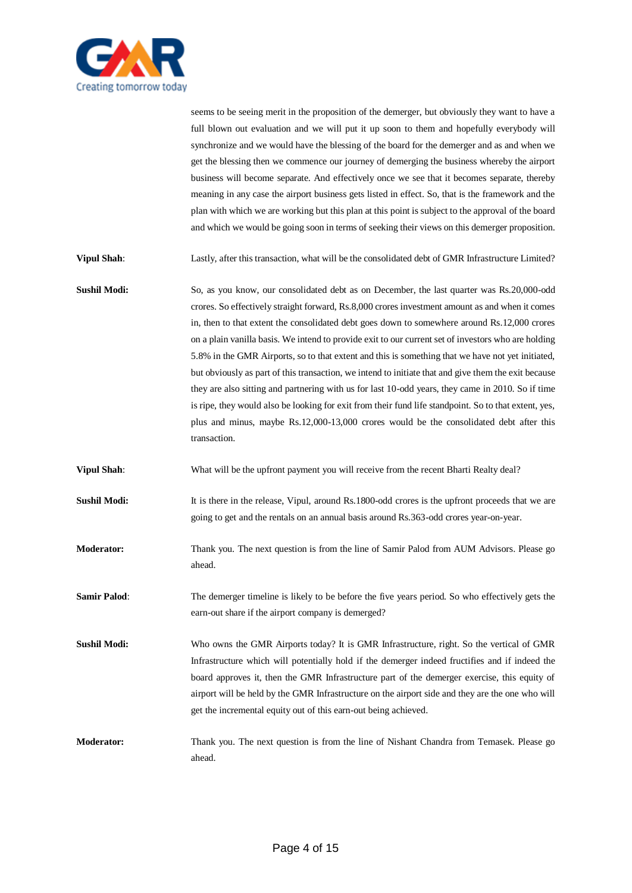

seems to be seeing merit in the proposition of the demerger, but obviously they want to have a full blown out evaluation and we will put it up soon to them and hopefully everybody will synchronize and we would have the blessing of the board for the demerger and as and when we get the blessing then we commence our journey of demerging the business whereby the airport business will become separate. And effectively once we see that it becomes separate, thereby meaning in any case the airport business gets listed in effect. So, that is the framework and the plan with which we are working but this plan at this point is subject to the approval of the board and which we would be going soon in terms of seeking their views on this demerger proposition. **Vipul Shah**: Lastly, after this transaction, what will be the consolidated debt of GMR Infrastructure Limited? **Sushil Modi:** So, as you know, our consolidated debt as on December, the last quarter was Rs.20,000-odd crores. So effectively straight forward, Rs.8,000 crores investment amount as and when it comes in, then to that extent the consolidated debt goes down to somewhere around Rs.12,000 crores on a plain vanilla basis. We intend to provide exit to our current set of investors who are holding 5.8% in the GMR Airports, so to that extent and this is something that we have not yet initiated,

but obviously as part of this transaction, we intend to initiate that and give them the exit because they are also sitting and partnering with us for last 10-odd years, they came in 2010. So if time is ripe, they would also be looking for exit from their fund life standpoint. So to that extent, yes, plus and minus, maybe Rs.12,000-13,000 crores would be the consolidated debt after this transaction.

**Vipul Shah**: What will be the upfront payment you will receive from the recent Bharti Realty deal?

**Sushil Modi:** It is there in the release, Vipul, around Rs.1800-odd crores is the upfront proceeds that we are going to get and the rentals on an annual basis around Rs.363-odd crores year-on-year.

**Moderator:** Thank you. The next question is from the line of Samir Palod from AUM Advisors. Please go ahead.

**Samir Palod**: The demerger timeline is likely to be before the five years period. So who effectively gets the earn-out share if the airport company is demerged?

**Sushil Modi:** Who owns the GMR Airports today? It is GMR Infrastructure, right. So the vertical of GMR Infrastructure which will potentially hold if the demerger indeed fructifies and if indeed the board approves it, then the GMR Infrastructure part of the demerger exercise, this equity of airport will be held by the GMR Infrastructure on the airport side and they are the one who will get the incremental equity out of this earn-out being achieved.

**Moderator:** Thank you. The next question is from the line of Nishant Chandra from Temasek. Please go ahead.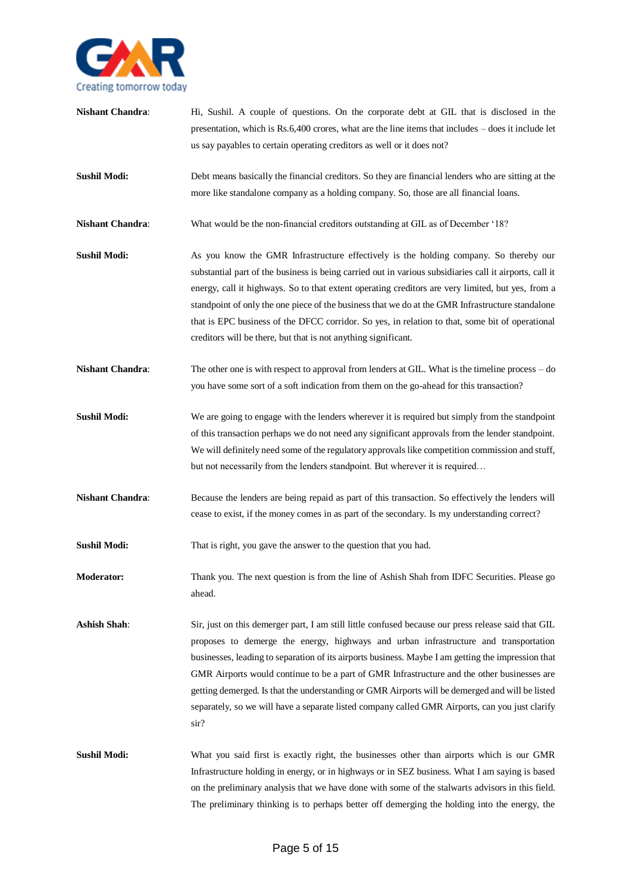

**Nishant Chandra:** Hi, Sushil. A couple of questions. On the corporate debt at GIL that is disclosed in the presentation, which is Rs.6,400 crores, what are the line items that includes – does it include let us say payables to certain operating creditors as well or it does not? **Sushil Modi:** Debt means basically the financial creditors. So they are financial lenders who are sitting at the more like standalone company as a holding company. So, those are all financial loans. **Nishant Chandra**: What would be the non-financial creditors outstanding at GIL as of December '18? **Sushil Modi:** As you know the GMR Infrastructure effectively is the holding company. So thereby our substantial part of the business is being carried out in various subsidiaries call it airports, call it energy, call it highways. So to that extent operating creditors are very limited, but yes, from a standpoint of only the one piece of the business that we do at the GMR Infrastructure standalone that is EPC business of the DFCC corridor. So yes, in relation to that, some bit of operational creditors will be there, but that is not anything significant. **Nishant Chandra**: The other one is with respect to approval from lenders at GIL. What is the timeline process – do you have some sort of a soft indication from them on the go-ahead for this transaction? **Sushil Modi:** We are going to engage with the lenders wherever it is required but simply from the standpoint of this transaction perhaps we do not need any significant approvals from the lender standpoint. We will definitely need some of the regulatory approvals like competition commission and stuff, but not necessarily from the lenders standpoint. But wherever it is required… **Nishant Chandra**: Because the lenders are being repaid as part of this transaction. So effectively the lenders will cease to exist, if the money comes in as part of the secondary. Is my understanding correct? **Sushil Modi:** That is right, you gave the answer to the question that you had. **Moderator:** Thank you. The next question is from the line of Ashish Shah from IDFC Securities. Please go ahead. **Ashish Shah**: Sir, just on this demerger part, I am still little confused because our press release said that GIL proposes to demerge the energy, highways and urban infrastructure and transportation businesses, leading to separation of its airports business. Maybe I am getting the impression that GMR Airports would continue to be a part of GMR Infrastructure and the other businesses are getting demerged. Is that the understanding or GMR Airports will be demerged and will be listed separately, so we will have a separate listed company called GMR Airports, can you just clarify sir? **Sushil Modi:** What you said first is exactly right, the businesses other than airports which is our GMR Infrastructure holding in energy, or in highways or in SEZ business. What I am saying is based

on the preliminary analysis that we have done with some of the stalwarts advisors in this field. The preliminary thinking is to perhaps better off demerging the holding into the energy, the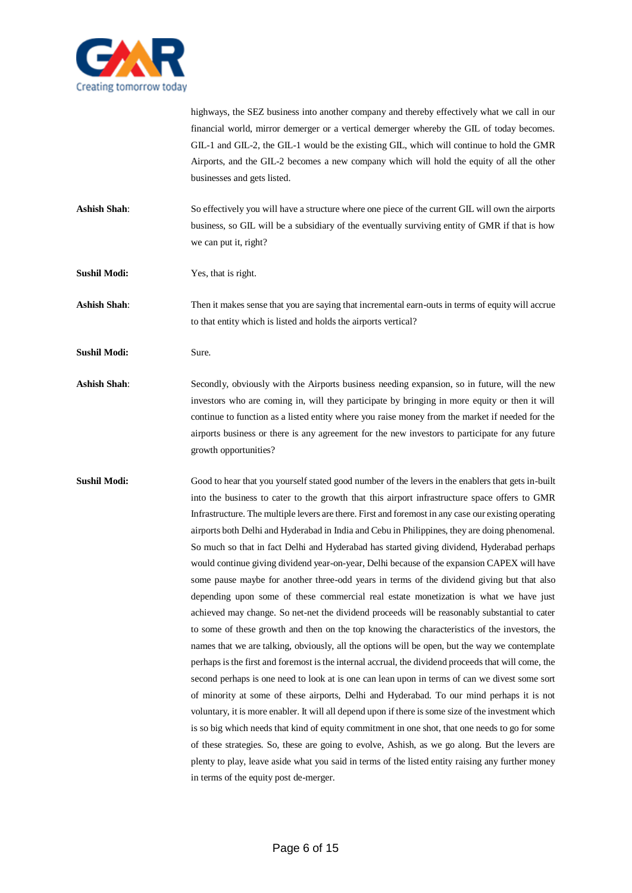

highways, the SEZ business into another company and thereby effectively what we call in our financial world, mirror demerger or a vertical demerger whereby the GIL of today becomes. GIL-1 and GIL-2, the GIL-1 would be the existing GIL, which will continue to hold the GMR Airports, and the GIL-2 becomes a new company which will hold the equity of all the other businesses and gets listed.

- **Ashish Shah**: So effectively you will have a structure where one piece of the current GIL will own the airports business, so GIL will be a subsidiary of the eventually surviving entity of GMR if that is how we can put it, right?
- **Sushil Modi:** Yes, that is right.

**Ashish Shah**: Then it makes sense that you are saying that incremental earn-outs in terms of equity will accrue to that entity which is listed and holds the airports vertical?

- **Sushil Modi:** Sure.
- Ashish Shah: Secondly, obviously with the Airports business needing expansion, so in future, will the new investors who are coming in, will they participate by bringing in more equity or then it will continue to function as a listed entity where you raise money from the market if needed for the airports business or there is any agreement for the new investors to participate for any future growth opportunities?
- **Sushil Modi:** Good to hear that you yourself stated good number of the levers in the enablers that gets in-built into the business to cater to the growth that this airport infrastructure space offers to GMR Infrastructure. The multiple levers are there. First and foremost in any case our existing operating airports both Delhi and Hyderabad in India and Cebu in Philippines, they are doing phenomenal. So much so that in fact Delhi and Hyderabad has started giving dividend, Hyderabad perhaps would continue giving dividend year-on-year, Delhi because of the expansion CAPEX will have some pause maybe for another three-odd years in terms of the dividend giving but that also depending upon some of these commercial real estate monetization is what we have just achieved may change. So net-net the dividend proceeds will be reasonably substantial to cater to some of these growth and then on the top knowing the characteristics of the investors, the names that we are talking, obviously, all the options will be open, but the way we contemplate perhaps is the first and foremost is the internal accrual, the dividend proceeds that will come, the second perhaps is one need to look at is one can lean upon in terms of can we divest some sort of minority at some of these airports, Delhi and Hyderabad. To our mind perhaps it is not voluntary, it is more enabler. It will all depend upon if there is some size of the investment which is so big which needs that kind of equity commitment in one shot, that one needs to go for some of these strategies. So, these are going to evolve, Ashish, as we go along. But the levers are plenty to play, leave aside what you said in terms of the listed entity raising any further money in terms of the equity post de-merger.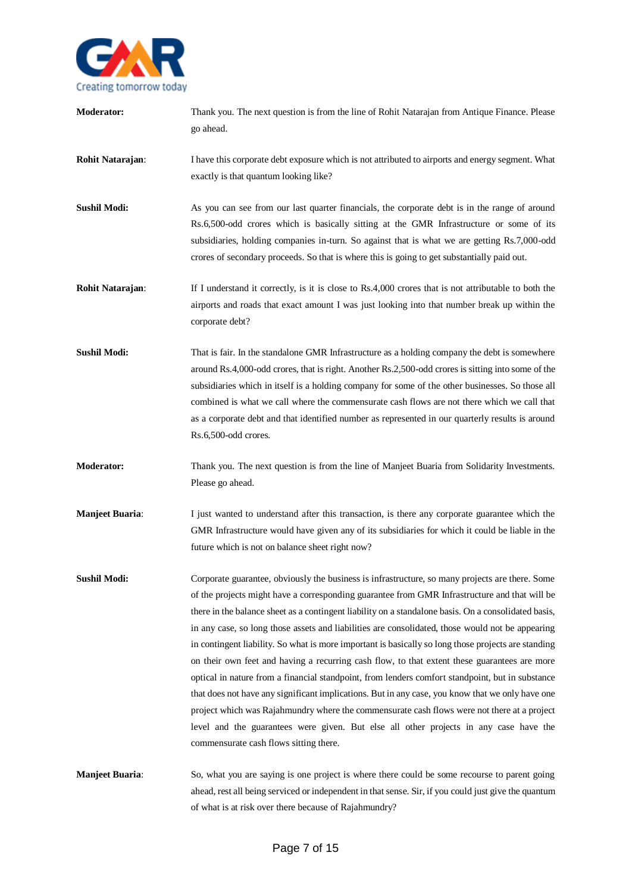

go ahead. **Rohit Natarajan:** I have this corporate debt exposure which is not attributed to airports and energy segment. What exactly is that quantum looking like? **Sushil Modi:** As you can see from our last quarter financials, the corporate debt is in the range of around Rs.6,500-odd crores which is basically sitting at the GMR Infrastructure or some of its subsidiaries, holding companies in-turn. So against that is what we are getting Rs.7,000-odd crores of secondary proceeds. So that is where this is going to get substantially paid out. **Rohit Natarajan:** If I understand it correctly, is it is close to Rs.4,000 crores that is not attributable to both the airports and roads that exact amount I was just looking into that number break up within the corporate debt? **Sushil Modi:** That is fair. In the standalone GMR Infrastructure as a holding company the debt is somewhere around Rs.4,000-odd crores, that is right. Another Rs.2,500-odd crores is sitting into some of the subsidiaries which in itself is a holding company for some of the other businesses. So those all combined is what we call where the commensurate cash flows are not there which we call that as a corporate debt and that identified number as represented in our quarterly results is around Rs.6,500-odd crores. **Moderator:** Thank you. The next question is from the line of Manjeet Buaria from Solidarity Investments. Please go ahead. **Manjeet Buaria:** I just wanted to understand after this transaction, is there any corporate guarantee which the GMR Infrastructure would have given any of its subsidiaries for which it could be liable in the future which is not on balance sheet right now? **Sushil Modi:** Corporate guarantee, obviously the business is infrastructure, so many projects are there. Some of the projects might have a corresponding guarantee from GMR Infrastructure and that will be there in the balance sheet as a contingent liability on a standalone basis. On a consolidated basis, in any case, so long those assets and liabilities are consolidated, those would not be appearing in contingent liability. So what is more important is basically so long those projects are standing on their own feet and having a recurring cash flow, to that extent these guarantees are more optical in nature from a financial standpoint, from lenders comfort standpoint, but in substance that does not have any significant implications. But in any case, you know that we only have one project which was Rajahmundry where the commensurate cash flows were not there at a project level and the guarantees were given. But else all other projects in any case have the commensurate cash flows sitting there. **Manjeet Buaria:** So, what you are saying is one project is where there could be some recourse to parent going

**Moderator:** Thank you. The next question is from the line of Rohit Natarajan from Antique Finance. Please

of what is at risk over there because of Rajahmundry?

ahead, rest all being serviced or independent in that sense. Sir, if you could just give the quantum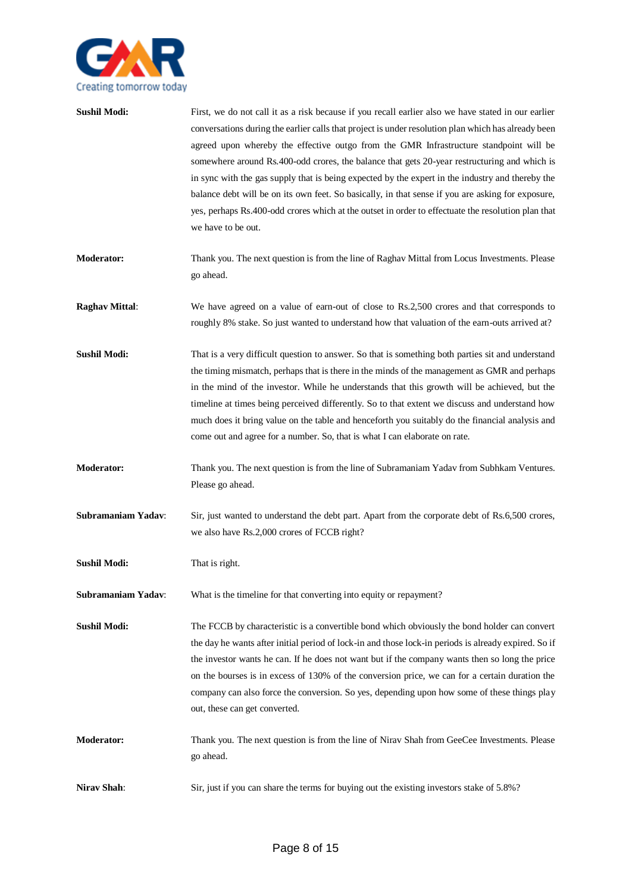

| <b>Sushil Modi:</b>   | First, we do not call it as a risk because if you recall earlier also we have stated in our earlier<br>conversations during the earlier calls that project is under resolution plan which has already been<br>agreed upon whereby the effective outgo from the GMR Infrastructure standpoint will be<br>somewhere around Rs.400-odd crores, the balance that gets 20-year restructuring and which is<br>in sync with the gas supply that is being expected by the expert in the industry and thereby the<br>balance debt will be on its own feet. So basically, in that sense if you are asking for exposure,<br>yes, perhaps Rs.400-odd crores which at the outset in order to effectuate the resolution plan that<br>we have to be out. |
|-----------------------|-------------------------------------------------------------------------------------------------------------------------------------------------------------------------------------------------------------------------------------------------------------------------------------------------------------------------------------------------------------------------------------------------------------------------------------------------------------------------------------------------------------------------------------------------------------------------------------------------------------------------------------------------------------------------------------------------------------------------------------------|
| <b>Moderator:</b>     | Thank you. The next question is from the line of Raghav Mittal from Locus Investments. Please<br>go ahead.                                                                                                                                                                                                                                                                                                                                                                                                                                                                                                                                                                                                                                |
| <b>Raghav Mittal:</b> | We have agreed on a value of earn-out of close to Rs.2,500 crores and that corresponds to<br>roughly 8% stake. So just wanted to understand how that valuation of the earn-outs arrived at?                                                                                                                                                                                                                                                                                                                                                                                                                                                                                                                                               |
| <b>Sushil Modi:</b>   | That is a very difficult question to answer. So that is something both parties sit and understand<br>the timing mismatch, perhaps that is there in the minds of the management as GMR and perhaps<br>in the mind of the investor. While he understands that this growth will be achieved, but the<br>timeline at times being perceived differently. So to that extent we discuss and understand how<br>much does it bring value on the table and henceforth you suitably do the financial analysis and<br>come out and agree for a number. So, that is what I can elaborate on rate.                                                                                                                                                      |
| <b>Moderator:</b>     | Thank you. The next question is from the line of Subramaniam Yadav from Subhkam Ventures.<br>Please go ahead.                                                                                                                                                                                                                                                                                                                                                                                                                                                                                                                                                                                                                             |
| Subramaniam Yadav:    | Sir, just wanted to understand the debt part. Apart from the corporate debt of Rs.6,500 crores,<br>we also have Rs.2,000 crores of FCCB right?                                                                                                                                                                                                                                                                                                                                                                                                                                                                                                                                                                                            |
| <b>Sushil Modi:</b>   | That is right.                                                                                                                                                                                                                                                                                                                                                                                                                                                                                                                                                                                                                                                                                                                            |
| Subramaniam Yadav:    | What is the timeline for that converting into equity or repayment?                                                                                                                                                                                                                                                                                                                                                                                                                                                                                                                                                                                                                                                                        |
| <b>Sushil Modi:</b>   | The FCCB by characteristic is a convertible bond which obviously the bond holder can convert<br>the day he wants after initial period of lock-in and those lock-in periods is already expired. So if<br>the investor wants he can. If he does not want but if the company wants then so long the price<br>on the bourses is in excess of 130% of the conversion price, we can for a certain duration the<br>company can also force the conversion. So yes, depending upon how some of these things play<br>out, these can get converted.                                                                                                                                                                                                  |
| <b>Moderator:</b>     | Thank you. The next question is from the line of Nirav Shah from GeeCee Investments. Please<br>go ahead.                                                                                                                                                                                                                                                                                                                                                                                                                                                                                                                                                                                                                                  |
| Nirav Shah:           | Sir, just if you can share the terms for buying out the existing investors stake of 5.8%?                                                                                                                                                                                                                                                                                                                                                                                                                                                                                                                                                                                                                                                 |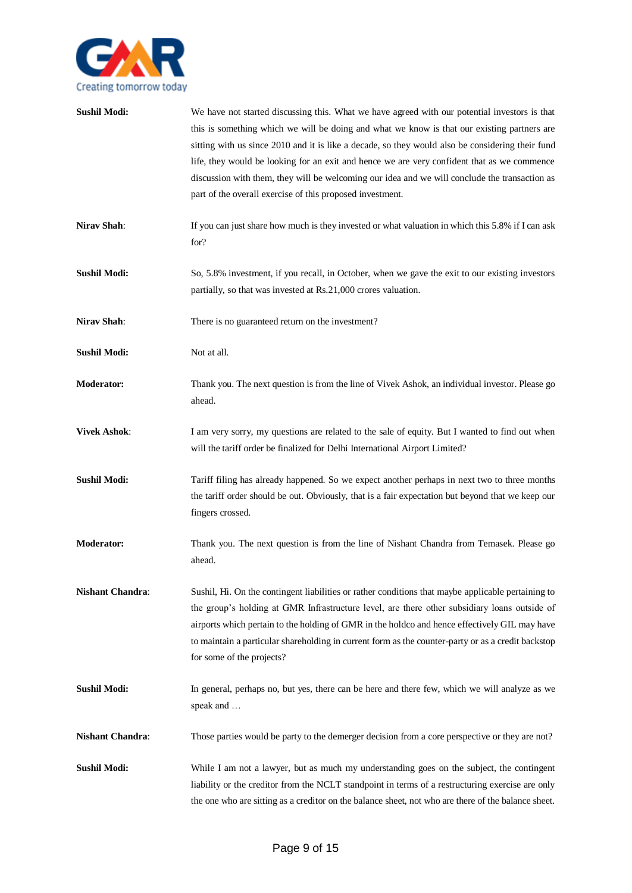

| <b>Sushil Modi:</b>     | We have not started discussing this. What we have agreed with our potential investors is that<br>this is something which we will be doing and what we know is that our existing partners are<br>sitting with us since 2010 and it is like a decade, so they would also be considering their fund<br>life, they would be looking for an exit and hence we are very confident that as we commence<br>discussion with them, they will be welcoming our idea and we will conclude the transaction as<br>part of the overall exercise of this proposed investment. |
|-------------------------|---------------------------------------------------------------------------------------------------------------------------------------------------------------------------------------------------------------------------------------------------------------------------------------------------------------------------------------------------------------------------------------------------------------------------------------------------------------------------------------------------------------------------------------------------------------|
| Nirav Shah:             | If you can just share how much is they invested or what valuation in which this 5.8% if I can ask<br>for?                                                                                                                                                                                                                                                                                                                                                                                                                                                     |
| <b>Sushil Modi:</b>     | So, 5.8% investment, if you recall, in October, when we gave the exit to our existing investors<br>partially, so that was invested at Rs.21,000 crores valuation.                                                                                                                                                                                                                                                                                                                                                                                             |
| Nirav Shah:             | There is no guaranteed return on the investment?                                                                                                                                                                                                                                                                                                                                                                                                                                                                                                              |
| <b>Sushil Modi:</b>     | Not at all.                                                                                                                                                                                                                                                                                                                                                                                                                                                                                                                                                   |
| <b>Moderator:</b>       | Thank you. The next question is from the line of Vivek Ashok, an individual investor. Please go<br>ahead.                                                                                                                                                                                                                                                                                                                                                                                                                                                     |
| <b>Vivek Ashok:</b>     | I am very sorry, my questions are related to the sale of equity. But I wanted to find out when<br>will the tariff order be finalized for Delhi International Airport Limited?                                                                                                                                                                                                                                                                                                                                                                                 |
| <b>Sushil Modi:</b>     | Tariff filing has already happened. So we expect another perhaps in next two to three months<br>the tariff order should be out. Obviously, that is a fair expectation but beyond that we keep our<br>fingers crossed.                                                                                                                                                                                                                                                                                                                                         |
| <b>Moderator:</b>       | Thank you. The next question is from the line of Nishant Chandra from Temasek. Please go<br>ahead.                                                                                                                                                                                                                                                                                                                                                                                                                                                            |
| <b>Nishant Chandra:</b> | Sushil, Hi. On the contingent liabilities or rather conditions that maybe applicable pertaining to<br>the group's holding at GMR Infrastructure level, are there other subsidiary loans outside of<br>airports which pertain to the holding of GMR in the holdco and hence effectively GIL may have<br>to maintain a particular shareholding in current form as the counter-party or as a credit backstop<br>for some of the projects?                                                                                                                        |
| <b>Sushil Modi:</b>     | In general, perhaps no, but yes, there can be here and there few, which we will analyze as we<br>speak and                                                                                                                                                                                                                                                                                                                                                                                                                                                    |
| <b>Nishant Chandra:</b> | Those parties would be party to the demerger decision from a core perspective or they are not?                                                                                                                                                                                                                                                                                                                                                                                                                                                                |
| <b>Sushil Modi:</b>     | While I am not a lawyer, but as much my understanding goes on the subject, the contingent<br>liability or the creditor from the NCLT standpoint in terms of a restructuring exercise are only<br>the one who are sitting as a creditor on the balance sheet, not who are there of the balance sheet.                                                                                                                                                                                                                                                          |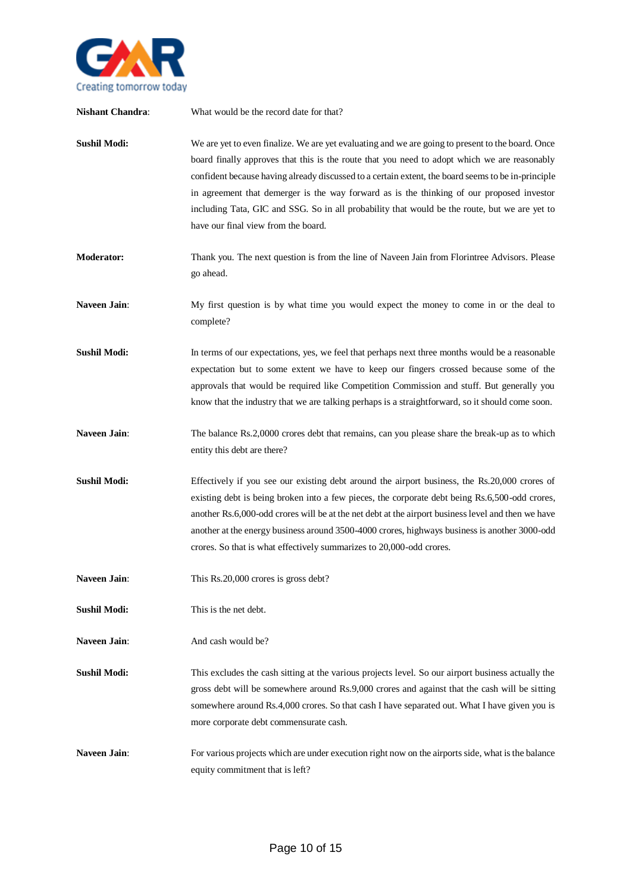

**Nishant Chandra:** What would be the record date for that? **Sushil Modi:** We are yet to even finalize. We are yet evaluating and we are going to present to the board. Once board finally approves that this is the route that you need to adopt which we are reasonably confident because having already discussed to a certain extent, the board seems to be in-principle in agreement that demerger is the way forward as is the thinking of our proposed investor including Tata, GIC and SSG. So in all probability that would be the route, but we are yet to have our final view from the board. **Moderator:** Thank you. The next question is from the line of Naveen Jain from Florintree Advisors. Please go ahead. **Naveen Jain**: My first question is by what time you would expect the money to come in or the deal to complete? **Sushil Modi:** In terms of our expectations, yes, we feel that perhaps next three months would be a reasonable expectation but to some extent we have to keep our fingers crossed because some of the approvals that would be required like Competition Commission and stuff. But generally you know that the industry that we are talking perhaps is a straightforward, so it should come soon. Naveen Jain: The balance Rs.2,0000 crores debt that remains, can you please share the break-up as to which entity this debt are there? **Sushil Modi:** Effectively if you see our existing debt around the airport business, the Rs.20,000 crores of existing debt is being broken into a few pieces, the corporate debt being Rs.6,500-odd crores, another Rs.6,000-odd crores will be at the net debt at the airport business level and then we have another at the energy business around 3500-4000 crores, highways business is another 3000-odd crores. So that is what effectively summarizes to 20,000-odd crores. Naveen Jain: This Rs.20,000 crores is gross debt? **Sushil Modi:** This is the net debt. **Naveen Jain:** And cash would be? **Sushil Modi:** This excludes the cash sitting at the various projects level. So our airport business actually the gross debt will be somewhere around Rs.9,000 crores and against that the cash will be sitting somewhere around Rs.4,000 crores. So that cash I have separated out. What I have given you is more corporate debt commensurate cash. **Naveen Jain:** For various projects which are under execution right now on the airports side, what is the balance equity commitment that is left?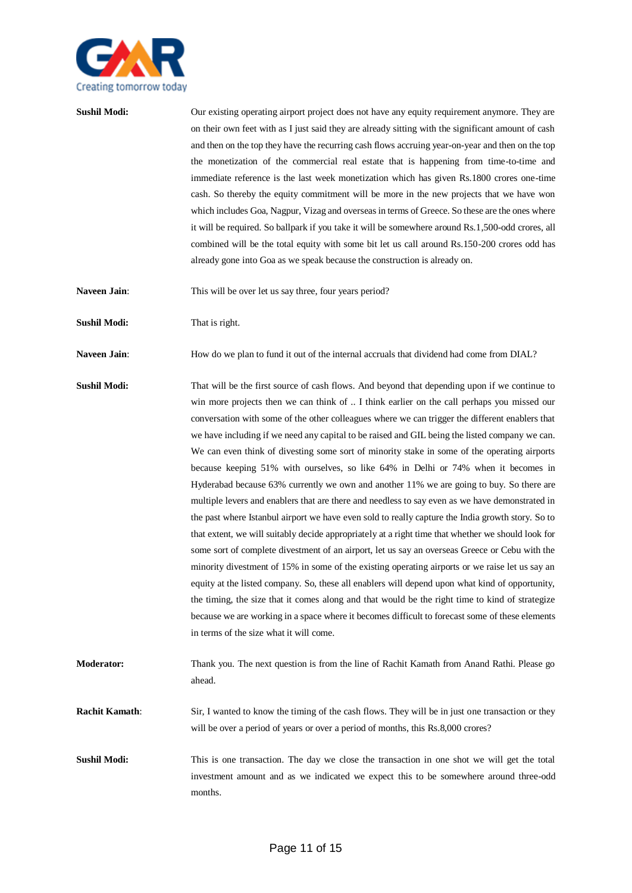

**Sushil Modi:** Our existing operating airport project does not have any equity requirement anymore. They are on their own feet with as I just said they are already sitting with the significant amount of cash and then on the top they have the recurring cash flows accruing year-on-year and then on the top the monetization of the commercial real estate that is happening from time-to-time and immediate reference is the last week monetization which has given Rs.1800 crores one-time cash. So thereby the equity commitment will be more in the new projects that we have won which includes Goa, Nagpur, Vizag and overseas in terms of Greece. So these are the ones where it will be required. So ballpark if you take it will be somewhere around Rs.1,500-odd crores, all combined will be the total equity with some bit let us call around Rs.150-200 crores odd has already gone into Goa as we speak because the construction is already on.

Naveen Jain: This will be over let us say three, four years period?

**Sushil Modi:** That is right.

**Naveen Jain:** How do we plan to fund it out of the internal accruals that dividend had come from DIAL?

**Sushil Modi:** That will be the first source of cash flows. And beyond that depending upon if we continue to win more projects then we can think of .. I think earlier on the call perhaps you missed our conversation with some of the other colleagues where we can trigger the different enablers that we have including if we need any capital to be raised and GIL being the listed company we can. We can even think of divesting some sort of minority stake in some of the operating airports because keeping 51% with ourselves, so like 64% in Delhi or 74% when it becomes in Hyderabad because 63% currently we own and another 11% we are going to buy. So there are multiple levers and enablers that are there and needless to say even as we have demonstrated in the past where Istanbul airport we have even sold to really capture the India growth story. So to that extent, we will suitably decide appropriately at a right time that whether we should look for some sort of complete divestment of an airport, let us say an overseas Greece or Cebu with the minority divestment of 15% in some of the existing operating airports or we raise let us say an equity at the listed company. So, these all enablers will depend upon what kind of opportunity, the timing, the size that it comes along and that would be the right time to kind of strategize because we are working in a space where it becomes difficult to forecast some of these elements in terms of the size what it will come.

**Moderator:** Thank you. The next question is from the line of Rachit Kamath from Anand Rathi. Please go ahead.

**Rachit Kamath:** Sir, I wanted to know the timing of the cash flows. They will be in just one transaction or they will be over a period of years or over a period of months, this Rs.8,000 crores?

**Sushil Modi:** This is one transaction. The day we close the transaction in one shot we will get the total investment amount and as we indicated we expect this to be somewhere around three-odd months.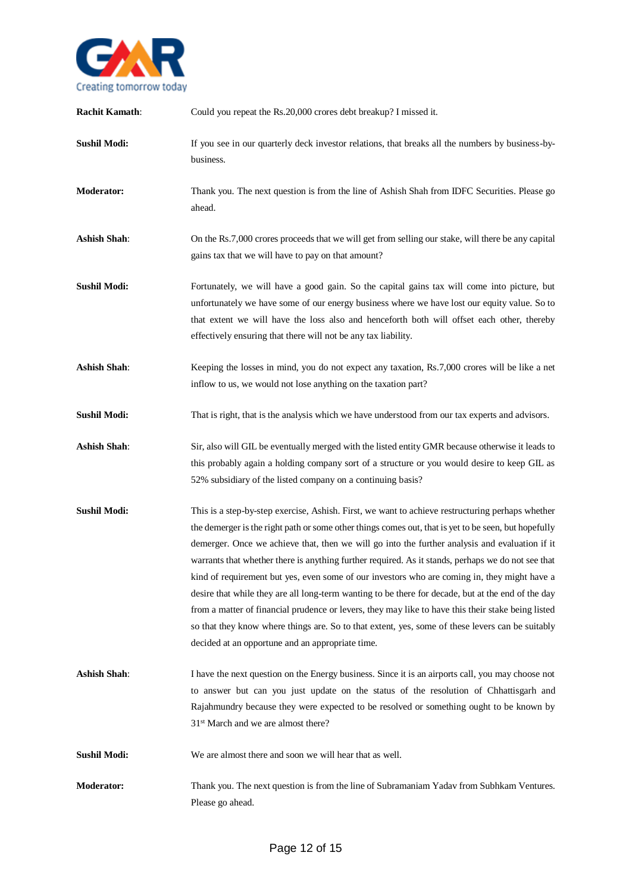

| <b>Rachit Kamath:</b> | Could you repeat the Rs.20,000 crores debt breakup? I missed it.                                                                                                                                                                                                                                                                                                                                                                                                                                                                                                                                                                                                                                                                                                                                                                                                                     |
|-----------------------|--------------------------------------------------------------------------------------------------------------------------------------------------------------------------------------------------------------------------------------------------------------------------------------------------------------------------------------------------------------------------------------------------------------------------------------------------------------------------------------------------------------------------------------------------------------------------------------------------------------------------------------------------------------------------------------------------------------------------------------------------------------------------------------------------------------------------------------------------------------------------------------|
| <b>Sushil Modi:</b>   | If you see in our quarterly deck investor relations, that breaks all the numbers by business-by-<br>business.                                                                                                                                                                                                                                                                                                                                                                                                                                                                                                                                                                                                                                                                                                                                                                        |
| <b>Moderator:</b>     | Thank you. The next question is from the line of Ashish Shah from IDFC Securities. Please go<br>ahead.                                                                                                                                                                                                                                                                                                                                                                                                                                                                                                                                                                                                                                                                                                                                                                               |
| <b>Ashish Shah:</b>   | On the Rs.7,000 crores proceeds that we will get from selling our stake, will there be any capital<br>gains tax that we will have to pay on that amount?                                                                                                                                                                                                                                                                                                                                                                                                                                                                                                                                                                                                                                                                                                                             |
| <b>Sushil Modi:</b>   | Fortunately, we will have a good gain. So the capital gains tax will come into picture, but<br>unfortunately we have some of our energy business where we have lost our equity value. So to<br>that extent we will have the loss also and henceforth both will offset each other, thereby<br>effectively ensuring that there will not be any tax liability.                                                                                                                                                                                                                                                                                                                                                                                                                                                                                                                          |
| <b>Ashish Shah:</b>   | Keeping the losses in mind, you do not expect any taxation, Rs.7,000 crores will be like a net<br>inflow to us, we would not lose anything on the taxation part?                                                                                                                                                                                                                                                                                                                                                                                                                                                                                                                                                                                                                                                                                                                     |
| <b>Sushil Modi:</b>   | That is right, that is the analysis which we have understood from our tax experts and advisors.                                                                                                                                                                                                                                                                                                                                                                                                                                                                                                                                                                                                                                                                                                                                                                                      |
| <b>Ashish Shah:</b>   | Sir, also will GIL be eventually merged with the listed entity GMR because otherwise it leads to<br>this probably again a holding company sort of a structure or you would desire to keep GIL as<br>52% subsidiary of the listed company on a continuing basis?                                                                                                                                                                                                                                                                                                                                                                                                                                                                                                                                                                                                                      |
| <b>Sushil Modi:</b>   | This is a step-by-step exercise, Ashish. First, we want to achieve restructuring perhaps whether<br>the demerger is the right path or some other things comes out, that is yet to be seen, but hopefully<br>demerger. Once we achieve that, then we will go into the further analysis and evaluation if it<br>warrants that whether there is anything further required. As it stands, perhaps we do not see that<br>kind of requirement but yes, even some of our investors who are coming in, they might have a<br>desire that while they are all long-term wanting to be there for decade, but at the end of the day<br>from a matter of financial prudence or levers, they may like to have this their stake being listed<br>so that they know where things are. So to that extent, yes, some of these levers can be suitably<br>decided at an opportune and an appropriate time. |
| <b>Ashish Shah:</b>   | I have the next question on the Energy business. Since it is an airports call, you may choose not<br>to answer but can you just update on the status of the resolution of Chhattisgarh and<br>Rajahmundry because they were expected to be resolved or something ought to be known by<br>31 <sup>st</sup> March and we are almost there?                                                                                                                                                                                                                                                                                                                                                                                                                                                                                                                                             |
| <b>Sushil Modi:</b>   | We are almost there and soon we will hear that as well.                                                                                                                                                                                                                                                                                                                                                                                                                                                                                                                                                                                                                                                                                                                                                                                                                              |
| <b>Moderator:</b>     | Thank you. The next question is from the line of Subramaniam Yadav from Subhkam Ventures.<br>Please go ahead.                                                                                                                                                                                                                                                                                                                                                                                                                                                                                                                                                                                                                                                                                                                                                                        |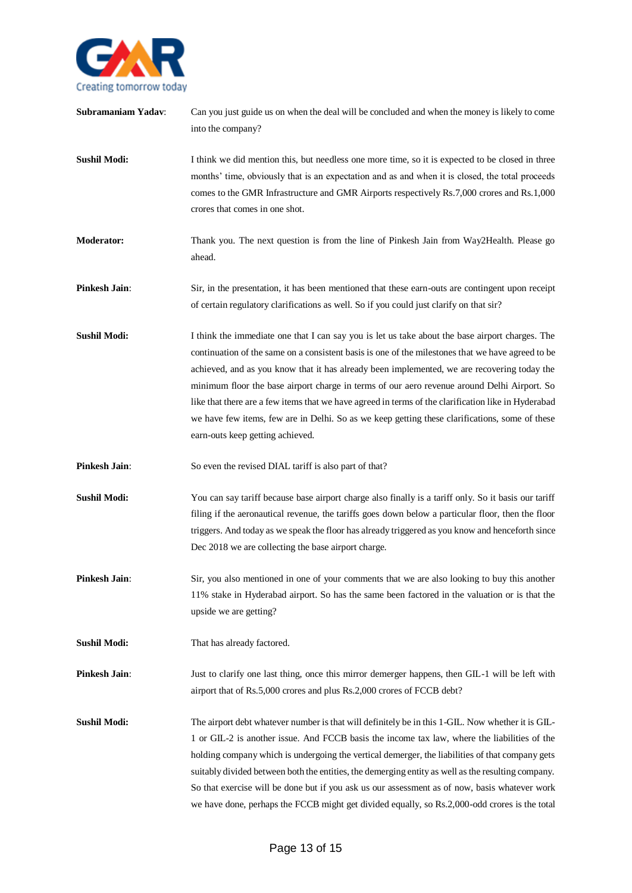

| Subramaniam Yadav:  | Can you just guide us on when the deal will be concluded and when the money is likely to come<br>into the company?                                                                                                                                                                                                                                                                                                                                                                                                                                                                                                                              |
|---------------------|-------------------------------------------------------------------------------------------------------------------------------------------------------------------------------------------------------------------------------------------------------------------------------------------------------------------------------------------------------------------------------------------------------------------------------------------------------------------------------------------------------------------------------------------------------------------------------------------------------------------------------------------------|
| <b>Sushil Modi:</b> | I think we did mention this, but needless one more time, so it is expected to be closed in three<br>months' time, obviously that is an expectation and as and when it is closed, the total proceeds<br>comes to the GMR Infrastructure and GMR Airports respectively Rs.7,000 crores and Rs.1,000<br>crores that comes in one shot.                                                                                                                                                                                                                                                                                                             |
| <b>Moderator:</b>   | Thank you. The next question is from the line of Pinkesh Jain from Way2Health. Please go<br>ahead.                                                                                                                                                                                                                                                                                                                                                                                                                                                                                                                                              |
| Pinkesh Jain:       | Sir, in the presentation, it has been mentioned that these earn-outs are contingent upon receipt<br>of certain regulatory clarifications as well. So if you could just clarify on that sir?                                                                                                                                                                                                                                                                                                                                                                                                                                                     |
| <b>Sushil Modi:</b> | I think the immediate one that I can say you is let us take about the base airport charges. The<br>continuation of the same on a consistent basis is one of the milestones that we have agreed to be<br>achieved, and as you know that it has already been implemented, we are recovering today the<br>minimum floor the base airport charge in terms of our aero revenue around Delhi Airport. So<br>like that there are a few items that we have agreed in terms of the clarification like in Hyderabad<br>we have few items, few are in Delhi. So as we keep getting these clarifications, some of these<br>earn-outs keep getting achieved. |
| Pinkesh Jain:       | So even the revised DIAL tariff is also part of that?                                                                                                                                                                                                                                                                                                                                                                                                                                                                                                                                                                                           |
| <b>Sushil Modi:</b> | You can say tariff because base airport charge also finally is a tariff only. So it basis our tariff<br>filing if the aeronautical revenue, the tariffs goes down below a particular floor, then the floor<br>triggers. And today as we speak the floor has already triggered as you know and henceforth since<br>Dec 2018 we are collecting the base airport charge.                                                                                                                                                                                                                                                                           |
| Pinkesh Jain:       | Sir, you also mentioned in one of your comments that we are also looking to buy this another<br>11% stake in Hyderabad airport. So has the same been factored in the valuation or is that the<br>upside we are getting?                                                                                                                                                                                                                                                                                                                                                                                                                         |
| <b>Sushil Modi:</b> | That has already factored.                                                                                                                                                                                                                                                                                                                                                                                                                                                                                                                                                                                                                      |
| Pinkesh Jain:       | Just to clarify one last thing, once this mirror demerger happens, then GIL-1 will be left with<br>airport that of Rs.5,000 crores and plus Rs.2,000 crores of FCCB debt?                                                                                                                                                                                                                                                                                                                                                                                                                                                                       |
| <b>Sushil Modi:</b> | The airport debt whatever number is that will definitely be in this 1-GIL. Now whether it is GIL-<br>1 or GIL-2 is another issue. And FCCB basis the income tax law, where the liabilities of the<br>holding company which is undergoing the vertical demerger, the liabilities of that company gets<br>suitably divided between both the entities, the demerging entity as well as the resulting company.<br>So that exercise will be done but if you ask us our assessment as of now, basis whatever work<br>we have done, perhaps the FCCB might get divided equally, so Rs.2,000-odd crores is the total                                    |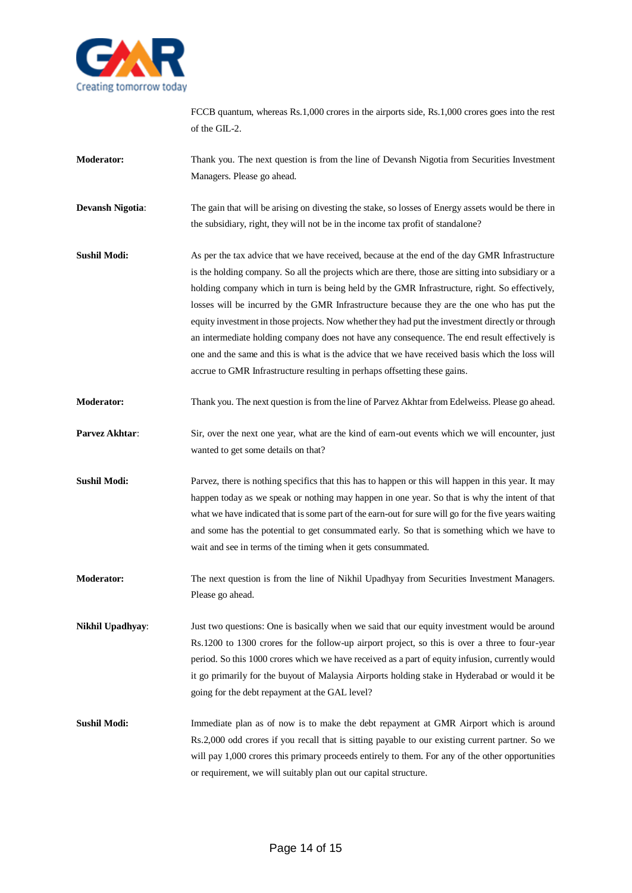

FCCB quantum, whereas Rs.1,000 crores in the airports side, Rs.1,000 crores goes into the rest of the GIL-2.

- **Moderator:** Thank you. The next question is from the line of Devansh Nigotia from Securities Investment Managers. Please go ahead.
- **Devansh Nigotia:** The gain that will be arising on divesting the stake, so losses of Energy assets would be there in the subsidiary, right, they will not be in the income tax profit of standalone?
- **Sushil Modi:** As per the tax advice that we have received, because at the end of the day GMR Infrastructure is the holding company. So all the projects which are there, those are sitting into subsidiary or a holding company which in turn is being held by the GMR Infrastructure, right. So effectively, losses will be incurred by the GMR Infrastructure because they are the one who has put the equity investment in those projects. Now whether they had put the investment directly or through an intermediate holding company does not have any consequence. The end result effectively is one and the same and this is what is the advice that we have received basis which the loss will accrue to GMR Infrastructure resulting in perhaps offsetting these gains.
- **Moderator:** Thank you. The next question is from the line of Parvez Akhtar from Edelweiss. Please go ahead.
- **Parvez Akhtar:** Sir, over the next one year, what are the kind of earn-out events which we will encounter, just wanted to get some details on that?
- **Sushil Modi:** Parvez, there is nothing specifics that this has to happen or this will happen in this year. It may happen today as we speak or nothing may happen in one year. So that is why the intent of that what we have indicated that is some part of the earn-out for sure will go for the five years waiting and some has the potential to get consummated early. So that is something which we have to wait and see in terms of the timing when it gets consummated.
- **Moderator:** The next question is from the line of Nikhil Upadhyay from Securities Investment Managers. Please go ahead.

**Nikhil Upadhyay**: Just two questions: One is basically when we said that our equity investment would be around Rs.1200 to 1300 crores for the follow-up airport project, so this is over a three to four-year period. So this 1000 crores which we have received as a part of equity infusion, currently would it go primarily for the buyout of Malaysia Airports holding stake in Hyderabad or would it be going for the debt repayment at the GAL level?

**Sushil Modi:** Immediate plan as of now is to make the debt repayment at GMR Airport which is around Rs.2,000 odd crores if you recall that is sitting payable to our existing current partner. So we will pay 1,000 crores this primary proceeds entirely to them. For any of the other opportunities or requirement, we will suitably plan out our capital structure.